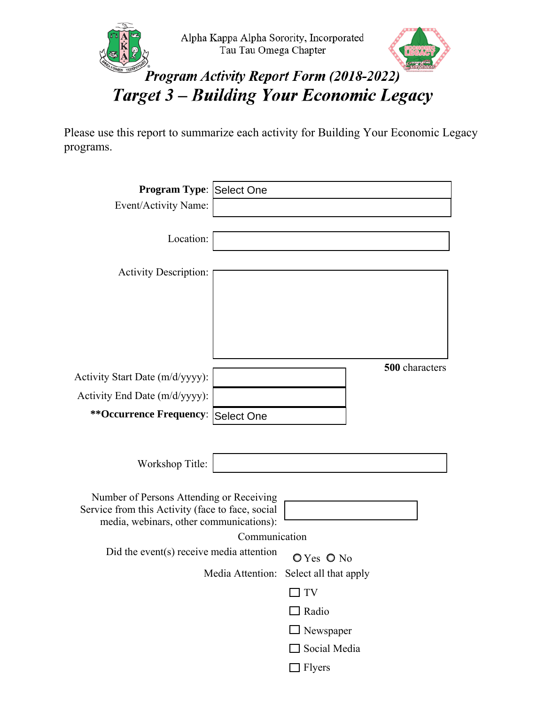



## Program Activity Report Form (2018-2022) **Target 3 - Building Your Economic Legacy**

Please use this report to summarize each activity for Building Your Economic Legacy programs.

| Program Type: Select One                         |               |                                        |                |
|--------------------------------------------------|---------------|----------------------------------------|----------------|
| Event/Activity Name:                             |               |                                        |                |
|                                                  |               |                                        |                |
| Location:                                        |               |                                        |                |
|                                                  |               |                                        |                |
| <b>Activity Description:</b>                     |               |                                        |                |
|                                                  |               |                                        |                |
|                                                  |               |                                        |                |
|                                                  |               |                                        |                |
|                                                  |               |                                        |                |
|                                                  |               |                                        | 500 characters |
| Activity Start Date (m/d/yyyy):                  |               |                                        |                |
| Activity End Date (m/d/yyyy):                    |               |                                        |                |
| ** Occurrence Frequency: Select One              |               |                                        |                |
|                                                  |               |                                        |                |
| Workshop Title:                                  |               |                                        |                |
|                                                  |               |                                        |                |
| Number of Persons Attending or Receiving         |               |                                        |                |
| Service from this Activity (face to face, social |               |                                        |                |
| media, webinars, other communications):          |               |                                        |                |
| Did the event(s) receive media attention         | Communication |                                        |                |
|                                                  |               | O Yes O No                             |                |
|                                                  |               | Media Attention: Select all that apply |                |
|                                                  |               | TV                                     |                |
|                                                  |               | $\Box$ Radio                           |                |
|                                                  |               | $\Box$ Newspaper                       |                |
|                                                  |               | Social Media                           |                |
|                                                  |               | Flyers                                 |                |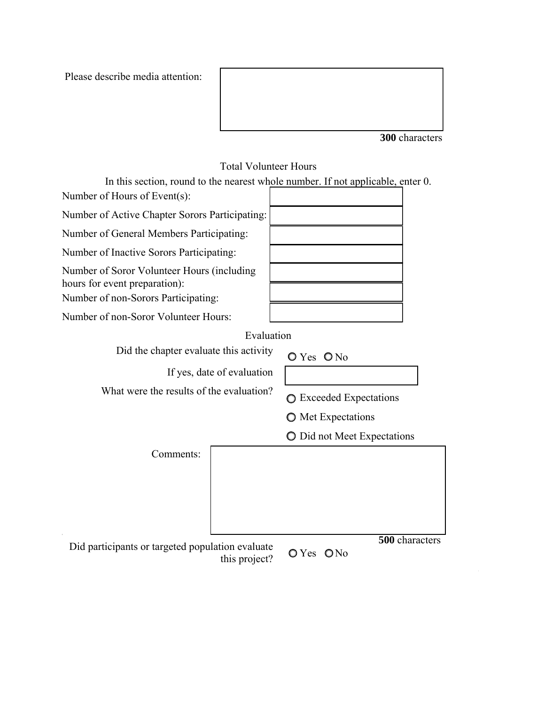Please describe media attention:

**300** characters

## Total Volunteer Hours

In this section, round to the nearest whole number. If not applicable, enter 0. Number of Hours of Event(s):

Number of Active Chapter Sorors Participating:

Number of General Members Participating:

Number of Inactive Sorors Participating:

Number of Soror Volunteer Hours (including hours for event preparation):

Number of non-Sorors Participating:

Number of non-Soror Volunteer Hours:

Evaluation

Did the chapter evaluate this activity  $\bigcirc$  Yes  $\bigcirc$  No

If yes, date of evaluation

What were the results of the evaluation?  $\bigcirc$  Exceeded Expectations

**O** Met Expectations

 $O$  Did not Meet Expectations

Comments:

this project?  $QY$ es  $QN$ o

**500** characters Did participants or targeted population evaluate **CAV**